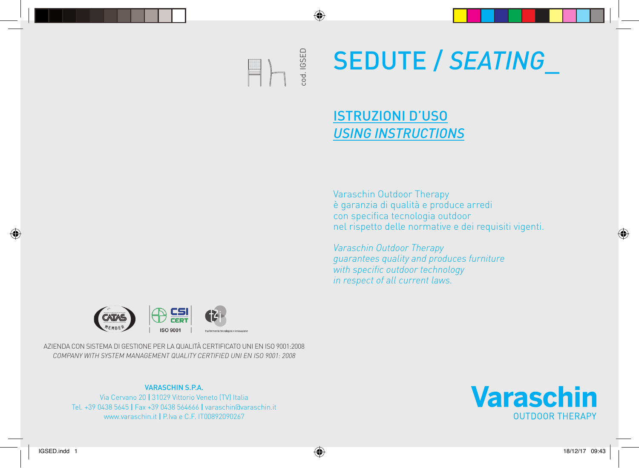### od. IGSED cod. IGSED  $\equiv$  )

◈

# SEDUTE / *SEATING*\_

### ISTRUZIONI D'USO *USING INSTRUCTIONS*

Varaschin Outdoor Therapy è garanzia di qualità e produce arredi con specifica tecnologia outdoor nel rispetto delle normative e dei requisiti vigenti.

*Varaschin Outdoor Therapy guarantees quality and produces furniture with specific outdoor technology in respect of all current laws.*



AZIENDA CON SISTEMA DI GESTIONE PER LA QUALITÀ CERTIFICATO UNI EN ISO 9001:2008 *COMPANY WITH SYSTEM MANAGEMENT QUALITY CERTIFIED UNI EN ISO 9001: 2008*

#### VARASCHIN S.P.A.

Via Cervano 20 | 31029 Vittorio Veneto (TV) Italia Tel. +39 0438 5645 | Fax +39 0438 564666 | varaschin@varaschin.it www.varaschin.it | P.Iva e C.F. IT00892090267



◈